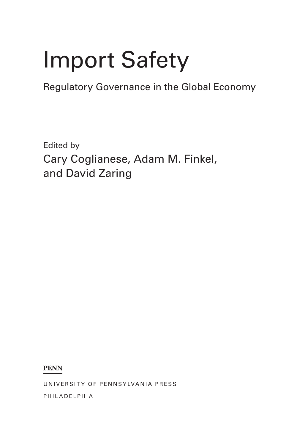# **Import Safety**

**Regulatory Governance in the Global Economy** 

**Edited by** Cary Coglianese, Adam M. Finkel, and David Zaring

**PENN** 

UNIVERSITY OF PENNSYLVANIA PRESS

PHILADELPHIA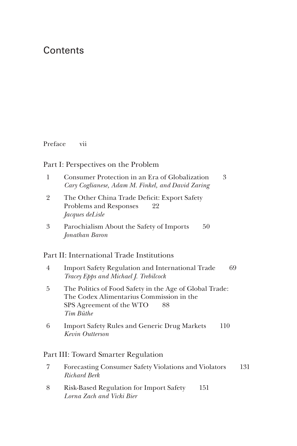# **Contents**

Preface vii

## Part I: Perspectives on the Problem

| 1 | 3<br>Consumer Protection in an Era of Globalization<br>Cary Coglianese, Adam M. Finkel, and David Zaring                                           |  |
|---|----------------------------------------------------------------------------------------------------------------------------------------------------|--|
| 2 | The Other China Trade Deficit: Export Safety<br>Problems and Responses<br>22<br><i>Jacques deLisle</i>                                             |  |
| 3 | Parochialism About the Safety of Imports<br>50<br>Jonathan Baron                                                                                   |  |
|   | Part II: International Trade Institutions                                                                                                          |  |
| 4 | <b>Import Safety Regulation and International Trade</b><br>69<br>Tracey Epps and Michael J. Trebilcock                                             |  |
| 5 | The Politics of Food Safety in the Age of Global Trade:<br>The Codex Alimentarius Commission in the<br>SPS Agreement of the WTO<br>88<br>Tim Büthe |  |
| 6 | <b>Import Safety Rules and Generic Drug Markets</b><br>110<br>Kevin Outterson                                                                      |  |
|   | Part III: Toward Smarter Regulation                                                                                                                |  |

- 7 Forecasting Consumer Safety Violations and Violators 131 *Richard Berk*
- 8 Risk-Based Regulation for Import Safety 151 *Lorna Zach and Vicki Bier*